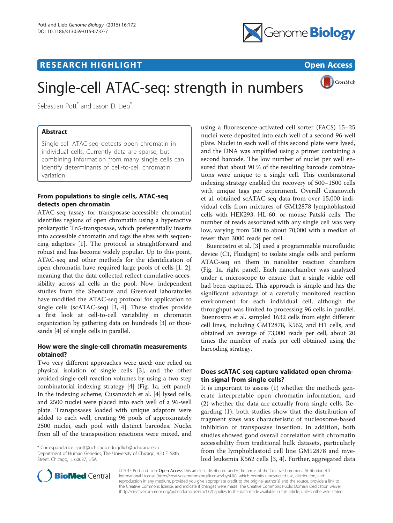# **RESEARCH HIGHLIGHT CONSUMING THE OPEN ACCESS**



CrossMark

# Single-cell ATAC-seq: strength in numbers

Sebastian Pott<sup>\*</sup> and Jason D. Lieb<sup>\*</sup>

# Abstract

Single-cell ATAC-seq detects open chromatin in individual cells. Currently data are sparse, but combining information from many single cells can identify determinants of cell-to-cell chromatin variation.

# From populations to single cells, ATAC-seq detects open chromatin

ATAC-seq (assay for transposase-accessible chromatin) identifies regions of open chromatin using a hyperactive prokaryotic Tn5-transposase, which preferentially inserts into accessible chromatin and tags the sites with sequencing adaptors [[1\]](#page-3-0). The protocol is straightforward and robust and has become widely popular. Up to this point, ATAC-seq and other methods for the identification of open chromatin have required large pools of cells [[1, 2](#page-3-0)], meaning that the data collected reflect cumulative accessibility across all cells in the pool. Now, independent studies from the Shendure and Greenleaf laboratories have modified the ATAC-seq protocol for application to single cells (scATAC-seq) [[3, 4](#page-3-0)]. These studies provide a first look at cell-to-cell variability in chromatin organization by gathering data on hundreds [[3](#page-3-0)] or thousands [\[4](#page-3-0)] of single cells in parallel.

## How were the single-cell chromatin measurements obtained?

Two very different approaches were used: one relied on physical isolation of single cells [\[3](#page-3-0)], and the other avoided single-cell reaction volumes by using a two-step combinatorial indexing strategy [[4\]](#page-3-0) (Fig. [1a](#page-2-0), left panel). In the indexing scheme, Cusanovich et al. [[4\]](#page-3-0) lysed cells, and 2500 nuclei were placed into each well of a 96-well plate. Transposases loaded with unique adaptors were added to each well, creating 96 pools of approximately 2500 nuclei, each pool with distinct barcodes. Nuclei from all of the transposition reactions were mixed, and

\* Correspondence: [spott@uchicago.edu;](mailto:spott@uchicago.edu) [jdlieb@uchicago.edu](mailto:jdlieb@uchicago.edu)

Department of Human Genetics, The University of Chicago, 920 E. 58th Street, Chicago, IL 60637, USA



Buenrostro et al. [[3\]](#page-3-0) used a programmable microfluidic device (C1, Fluidigm) to isolate single cells and perform ATAC-seq on them in nanoliter reaction chambers (Fig. [1a](#page-2-0), right panel). Each nanochamber was analyzed under a microscope to ensure that a single viable cell had been captured. This approach is simple and has the significant advantage of a carefully monitored reaction environment for each individual cell, although the throughput was limited to processing 96 cells in parallel. Buenrostro et al. sampled 1632 cells from eight different cell lines, including GM12878, K562, and H1 cells, and obtained an average of 73,000 reads per cell, about 20 times the number of reads per cell obtained using the barcoding strategy.

## Does scATAC-seq capture validated open chromatin signal from single cells?

It is important to assess (1) whether the methods generate interpretable open chromatin information, and (2) whether the data are actually from single cells. Regarding (1), both studies show that the distribution of fragment sizes was characteristic of nucleosome-based inhibition of transposase insertion. In addition, both studies showed good overall correlation with chromatin accessibility from traditional bulk datasets, particularly from the lymphoblastoid cell line GM12878 and myeloid leukemia K562 cells [\[3](#page-3-0), [4\]](#page-3-0). Further, aggregated data



© 2015 Pott and Lieb. Open Access This article is distributed under the terms of the Creative Commons Attribution 4.0 International License [\(http://creativecommons.org/licenses/by/4.0/](http://creativecommons.org/licenses/by/4.0/)), which permits unrestricted use, distribution, and reproduction in any medium, provided you give appropriate credit to the original author(s) and the source, provide a link to the Creative Commons license, and indicate if changes were made. The Creative Commons Public Domain Dedication waiver [\(http://creativecommons.org/publicdomain/zero/1.0/](http://creativecommons.org/publicdomain/zero/1.0/)) applies to the data made available in this article, unless otherwise stated.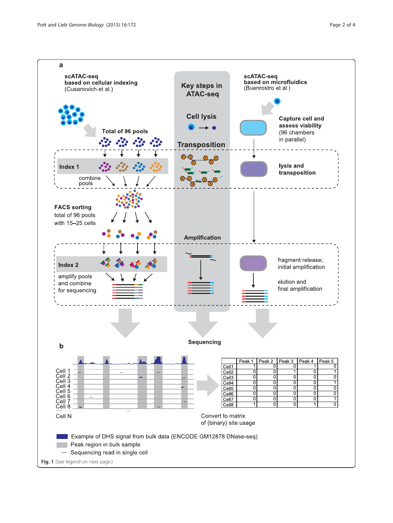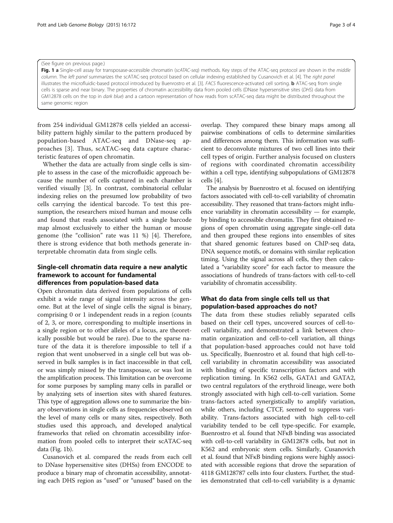#### <span id="page-2-0"></span>(See figure on previous page.)

Fig. 1 a Single-cell assay for transposase-accessible chromatin (scATAC-seq) methods. Key steps of the ATAC-seq protocol are shown in the middle column. The left panel summarizes the scATAC-seq protocol based on cellular indexing established by Cusanovich et al. [\[4](#page-3-0)]. The right panel illustrates the microfluidic-based protocol introduced by Buenrostro et al. [[3\]](#page-3-0). FACS fluorescence-activated cell sorting. **b** ATAC-seq from single cells is sparse and near binary. The properties of chromatin accessibility data from pooled cells (DNase hypersensitive sites (DHS) data from GM12878 cells on the top in dark blue) and a cartoon representation of how reads from scATAC-seq data might be distributed throughout the same genomic region

from 254 individual GM12878 cells yielded an accessibility pattern highly similar to the pattern produced by population-based ATAC-seq and DNase-seq approaches [[3\]](#page-3-0). Thus, scATAC-seq data capture characteristic features of open chromatin.

Whether the data are actually from single cells is simple to assess in the case of the microfluidic approach because the number of cells captured in each chamber is verified visually [[3\]](#page-3-0). In contrast, combinatorial cellular indexing relies on the presumed low probability of two cells carrying the identical barcode. To test this presumption, the researchers mixed human and mouse cells and found that reads associated with a single barcode map almost exclusively to either the human or mouse genome (the "collision" rate was 11 %) [\[4](#page-3-0)]. Therefore, there is strong evidence that both methods generate interpretable chromatin data from single cells.

#### Single-cell chromatin data require a new analytic framework to account for fundamental differences from population-based data

Open chromatin data derived from populations of cells exhibit a wide range of signal intensity across the genome. But at the level of single cells the signal is binary, comprising 0 or 1 independent reads in a region (counts of 2, 3, or more, corresponding to multiple insertions in a single region or to other alleles of a locus, are theoretically possible but would be rare). Due to the sparse nature of the data it is therefore impossible to tell if a region that went unobserved in a single cell but was observed in bulk samples is in fact inaccessible in that cell, or was simply missed by the transposase, or was lost in the amplification process. This limitation can be overcome for some purposes by sampling many cells in parallel or by analyzing sets of insertion sites with shared features. This type of aggregation allows one to summarize the binary observations in single cells as frequencies observed on the level of many cells or many sites, respectively. Both studies used this approach, and developed analytical frameworks that relied on chromatin accessibility information from pooled cells to interpret their scATAC-seq data (Fig. 1b).

Cusanovich et al. compared the reads from each cell to DNase hypersensitive sites (DHSs) from ENCODE to produce a binary map of chromatin accessibility, annotating each DHS region as "used" or "unused" based on the

overlap. They compared these binary maps among all pairwise combinations of cells to determine similarities and differences among them. This information was sufficient to deconvolute mixtures of two cell lines into their cell types of origin. Further analysis focused on clusters of regions with coordinated chromatin accessibility within a cell type, identifying subpopulations of GM12878 cells [[4\]](#page-3-0).

The analysis by Buenrostro et al. focused on identifying factors associated with cell-to-cell variability of chromatin accessibility. They reasoned that trans-factors might influence variability in chromatin accessibility — for example, by binding to accessible chromatin. They first obtained regions of open chromatin using aggregate single-cell data and then grouped these regions into ensembles of sites that shared genomic features based on ChIP-seq data, DNA sequence motifs, or domains with similar replication timing. Using the signal across all cells, they then calculated a "variability score" for each factor to measure the associations of hundreds of trans-factors with cell-to-cell variability of chromatin accessibility.

#### What do data from single cells tell us that population-based approaches do not?

The data from these studies reliably separated cells based on their cell types, uncovered sources of cell-tocell variability, and demonstrated a link between chromatin organization and cell-to-cell variation, all things that population-based approaches could not have told us. Specifically, Buenrostro et al. found that high cell-tocell variability in chromatin accessibility was associated with binding of specific transcription factors and with replication timing. In K562 cells, GATA1 and GATA2, two central regulators of the erythroid lineage, were both strongly associated with high cell-to-cell variation. Some trans-factors acted synergistically to amplify variation, while others, including CTCF, seemed to suppress variability. Trans-factors associated with high cell-to-cell variability tended to be cell type-specific. For example, Buenrostro et al. found that NFκB binding was associated with cell-to-cell variability in GM12878 cells, but not in K562 and embryonic stem cells. Similarly, Cusanovich et al. found that NFκB binding regions were highly associated with accessible regions that drove the separation of 4118 GM128787 cells into four clusters. Further, the studies demonstrated that cell-to-cell variability is a dynamic